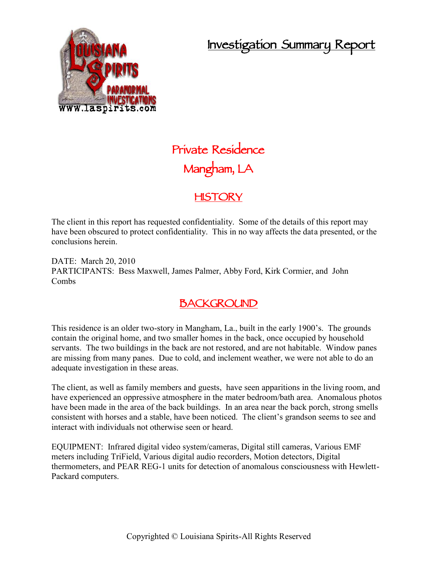# **Investigation Summary Report**



# **Private Residence Mangham, LA**

# **HISTORY**

The client in this report has requested confidentiality. Some of the details of this report may have been obscured to protect confidentiality. This in no way affects the data presented, or the conclusions herein.

DATE: March 20, 2010 PARTICIPANTS: Bess Maxwell, James Palmer, Abby Ford, Kirk Cormier, and John Combs

# **BACKGROUND**

This residence is an older two-story in Mangham, La., built in the early 1900's. The grounds contain the original home, and two smaller homes in the back, once occupied by household servants. The two buildings in the back are not restored, and are not habitable. Window panes are missing from many panes. Due to cold, and inclement weather, we were not able to do an adequate investigation in these areas.

The client, as well as family members and guests, have seen apparitions in the living room, and have experienced an oppressive atmosphere in the mater bedroom/bath area. Anomalous photos have been made in the area of the back buildings. In an area near the back porch, strong smells consistent with horses and a stable, have been noticed. The client's grandson seems to see and interact with individuals not otherwise seen or heard.

EQUIPMENT: Infrared digital video system/cameras, Digital still cameras, Various EMF meters including TriField, Various digital audio recorders, Motion detectors, Digital thermometers, and PEAR REG-1 units for detection of anomalous consciousness with Hewlett- Packard computers.